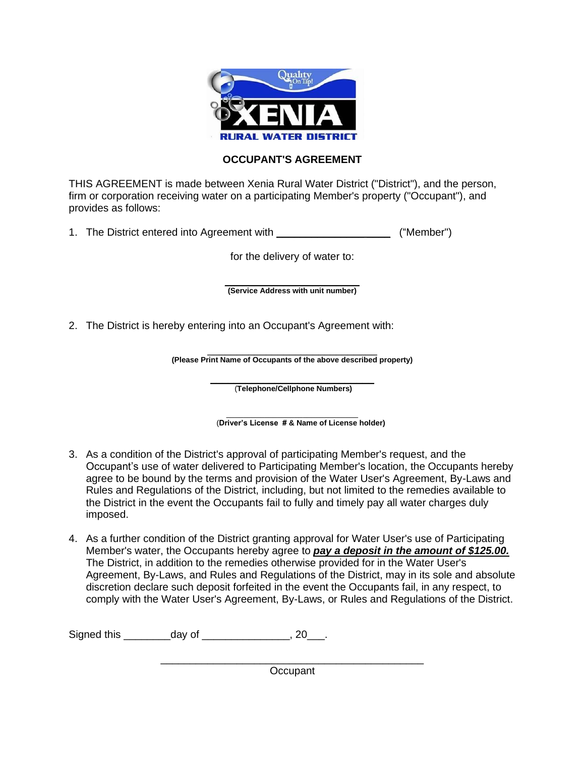

## **OCCUPANT'S AGREEMENT**

THIS AGREEMENT is made between Xenia Rural Water District ("District"), and the person, firm or corporation receiving water on a participating Member's property ("Occupant"), and provides as follows:

1. The District entered into Agreement with  $($ "Member")

for the delivery of water to:

 $\overline{\phantom{a}}$  , and the set of the set of the set of the set of the set of the set of the set of the set of the set of the set of the set of the set of the set of the set of the set of the set of the set of the set of the s **(Service Address with unit number)**

2. The District is hereby entering into an Occupant's Agreement with:

\_\_\_\_\_\_\_\_\_\_\_\_\_\_\_\_\_\_\_\_\_\_\_\_\_\_\_\_\_ **(Please Print Name of Occupants of the above described property)**

> \_\_\_\_\_\_\_\_\_\_\_\_\_\_\_\_\_\_\_\_\_\_\_\_\_\_\_\_ (**Telephone/Cellphone Numbers)**

\_\_\_\_\_\_\_\_\_\_\_\_\_\_\_\_\_\_\_\_\_\_\_\_\_\_\_\_\_\_\_ (**Driver's License # & Name of License holder)**

- 3. As a condition of the District's approval of participating Member's request, and the Occupant's use of water delivered to Participating Member's location, the Occupants hereby agree to be bound by the terms and provision of the Water User's Agreement, By-Laws and Rules and Regulations of the District, including, but not limited to the remedies available to the District in the event the Occupants fail to fully and timely pay all water charges duly imposed.
- 4. As a further condition of the District granting approval for Water User's use of Participating Member's water, the Occupants hereby agree to *pay a deposit in the amount of \$125.00.*  The District, in addition to the remedies otherwise provided for in the Water User's Agreement, By-Laws, and Rules and Regulations of the District, may in its sole and absolute discretion declare such deposit forfeited in the event the Occupants fail, in any respect, to comply with the Water User's Agreement, By-Laws, or Rules and Regulations of the District.

Signed this day of the set of the set of the set of the set of the set of the set of the set of the set of the set of the set of the set of the set of the set of the set of the set of the set of the set of the set of the s

\_\_\_\_\_\_\_\_\_\_\_\_\_\_\_\_\_\_\_\_\_\_\_\_\_\_\_\_\_\_\_\_\_\_\_\_\_\_\_\_\_\_\_\_\_ **Occupant**